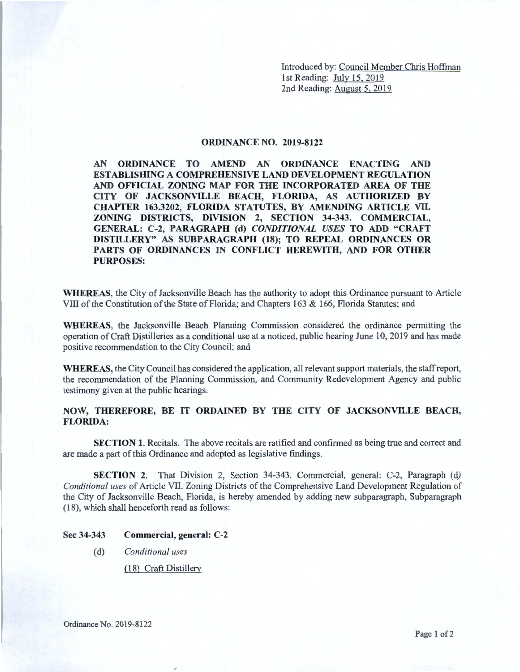Introduced by: Council Member Chris Hoffman 1st Reading: July 15, 2019 2nd Reading: August 5, 2019

## **ORDINANCE NO. 2019-8122**

**AN ORDINANCE TO AMEND AN ORDINANCE ENACTING AND ESTABLISIDNG A COMPREHENSIVE LAND DEVELOPMENT REGULATION AND OFFICIAL ZONING MAP FOR THE INCORPORATED AREA OF THE CITY OF JACKSONVILLE BEACH, FLORIDA, AS AUTHORIZED BY CHAPTER 163.3202, FLORIDA STATUTES, BY AMENDING ARTICLE VII. ZONING DISTRICTS, DIVISION 2, SECTION 34-343. COMMERCIAL, GENERAL: C-2, PARAGRAPH (d)** *CONDITIONAL USES* **TO ADD "CRAFT DISTILLERY" AS SUBPARAGRAPH (18); TO REPEAL ORDINANCES OR PARTS OF ORDINANCES** IN **CONFLICT HEREWITH, AND FOR OTHER PURPOSES:** 

**WHEREAS,** the City of Jacksonville Beach has the authority to adopt this Ordinance pursuant to Article VIII of the Constitution of the State of Florida; and Chapters 163 & 166, Florida Statutes; and

**WHEREAS,** the Jacksonville Beach Planning Commission considered the ordinance permitting the operation of Craft Distilleries as a conditional use at a noticed, public hearing June 10, 2019 and has made positive recommendation to the City Council; and

**WHEREAS,** the City Council has considered the application, all relevant support materials, the staff report, the recommendation of the Planning Commission, and Community Redevelopment Agency and public testimony given at the public hearings.

## **NOW, THEREFORE, BE IT ORDAINED BY THE CITY OF JACKSONVILLE BEACH, FLORIDA:**

**SECTION 1.** Recitals. The above recitals are ratified and confirmed as being true and correct and are made a part of this Ordinance and adopted as legislative findings.

**SECTION 2.** That Division 2, Section 34-343. Commercial, general: C-2, Paragraph (d) *Conditional uses* of Article VII. Zoning Districts of the Comprehensive Land Development Regulation of the City of Jacksonville Beach, Florida, is hereby amended by adding new subparagraph, Subparagraph (18), which shall henceforth read as follows:

## **Sec 34-343 Commercial, general: C-2**

(d) *Conditional uses* 

*(* 18) Craft Distillery